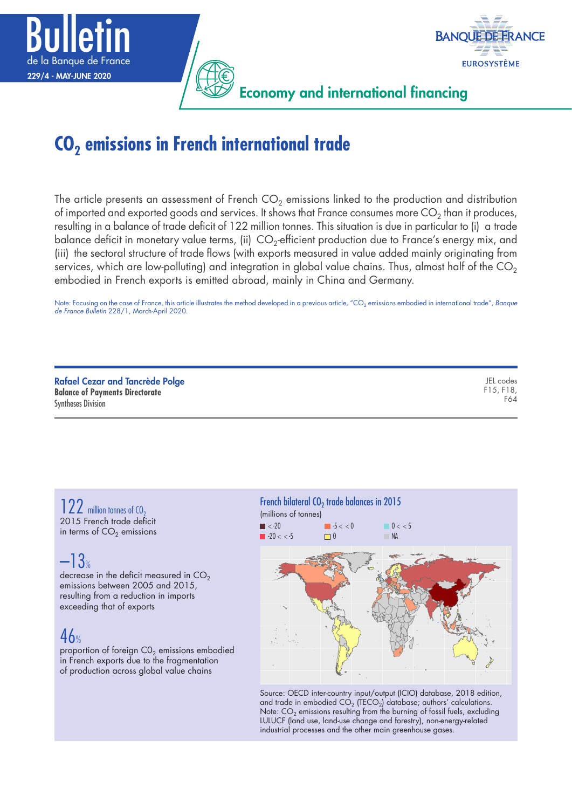



Economy and international financing

# **CO<sub>2</sub> emissions in French international trade**

The article presents an assessment of French  $CO<sub>2</sub>$  emissions linked to the production and distribution of imported and exported goods and services. It shows that France consumes more  $CO<sub>2</sub>$  than it produces, resulting in a balance of trade deficit of 122 million tonnes. This situation is due in particular to (i) a trade balance deficit in monetary value terms, (ii)  $CO<sub>2</sub>$ -efficient production due to France's energy mix, and (iii) the sectoral structure of trade flows (with exports measured in value added mainly originating from services, which are low-polluting) and integration in global value chains. Thus, almost half of the  $\text{CO}_2$ embodied in French exports is emitted abroad, mainly in China and Germany.

Note: Focusing on the case of France, this article illustrates the method developed in a previous article, "CO<sub>2</sub> emissions embodied in international trade", *Banque*<br>*de France Bulletin* 228/1, March-April 2020.

| <b>Rafael Cezar and Tancrède Polge</b><br><b>Balance of Payments Directorate</b> | JEL codes<br>F15, F18,<br>F64 |
|----------------------------------------------------------------------------------|-------------------------------|
| <b>Syntheses Division</b>                                                        |                               |

122 million tonnes of CO<sub>2</sub> 2015 French trade deficit in terms of  $CO<sub>2</sub>$  emissions

## –13%

decrease in the deficit measured in  $CO<sub>2</sub>$ emissions between 2005 and 2015, resulting from a reduction in imports exceeding that of exports

## $46%$

proportion of foreign  $CO<sub>2</sub>$  emissions embodied in French exports due to the fragmentation of production across global value chains



Source: OECD inter-country input/output (ICIO) database, 2018 edition, and trade in embodied  $CO<sub>2</sub>$  (TECO<sub>2</sub>) database; authors' calculations. Note:  $\mathsf{CO}_2$  emissions resulting from the burning of fossil fuels, excluding LULUCF (land use, land‑use change and forestry), non‑energy‑related industrial processes and the other main greenhouse gases.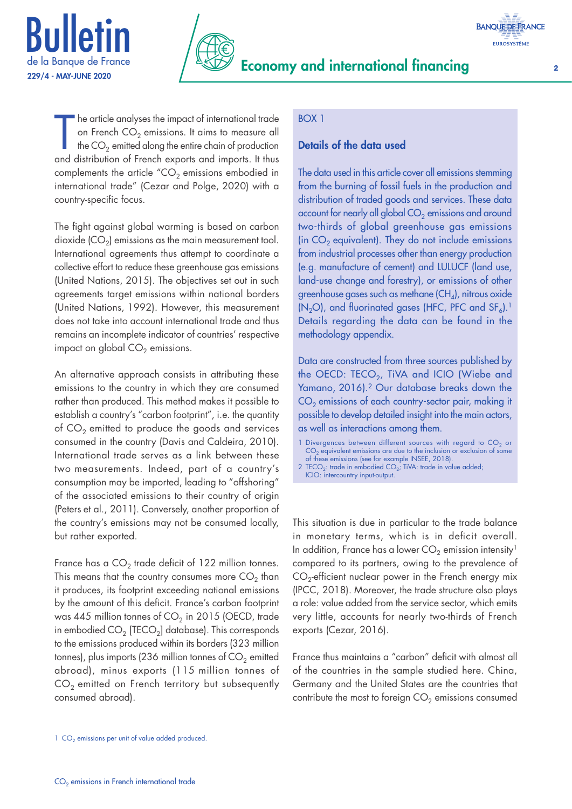



The article analyses the impact of international trade<br>on French  $CO_2$  emissions. It aims to measure all<br>the  $CO_2$  emitted along the entire chain of production<br>and distribution of French exports and imports. It thus he article analyses the impact of international trade on French  $CO<sub>2</sub>$  emissions. It aims to measure all the  $CO<sub>2</sub>$  emitted along the entire chain of production complements the article " $CO<sub>2</sub>$  emissions embodied in international trade" (Cezar and Polge, 2020) with a country‑specific focus.

The fight against global warming is based on carbon dioxide  $(CO<sub>2</sub>)$  emissions as the main measurement tool. International agreements thus attempt to coordinate a collective effort to reduce these greenhouse gas emissions (United Nations, 2015). The objectives set out in such agreements target emissions within national borders (United Nations, 1992). However, this measurement does not take into account international trade and thus remains an incomplete indicator of countries' respective impact on global  $CO<sub>2</sub>$  emissions.

An alternative approach consists in attributing these emissions to the country in which they are consumed rather than produced. This method makes it possible to establish a country's "carbon footprint", i.e. the quantity of  $CO<sub>2</sub>$  emitted to produce the goods and services consumed in the country (Davis and Caldeira, 2010). International trade serves as a link between these two measurements. Indeed, part of a country's consumption may be imported, leading to "offshoring" of the associated emissions to their country of origin (Peters et al., 2011). Conversely, another proportion of the country's emissions may not be consumed locally, but rather exported.

France has a  $CO<sub>2</sub>$  trade deficit of 122 million tonnes. This means that the country consumes more  $CO<sub>2</sub>$  than it produces, its footprint exceeding national emissions by the amount of this deficit. France's carbon footprint was 445 million tonnes of  $CO<sub>2</sub>$  in 2015 (OECD, trade in embodied  $CO<sub>2</sub>$  [TECO<sub>2</sub>] database). This corresponds to the emissions produced within its borders (323 million tonnes), plus imports (236 million tonnes of  $CO<sub>2</sub>$  emitted abroad), minus exports (115 million tonnes of  $CO<sub>2</sub>$  emitted on French territory but subsequently consumed abroad).

#### BOX 1

#### Details of the data used

The data used in this article cover all emissions stemming from the burning of fossil fuels in the production and distribution of traded goods and services. These data account for nearly all global  $CO<sub>2</sub>$  emissions and around two-thirds of global greenhouse gas emissions (in  $CO<sub>2</sub>$  equivalent). They do not include emissions from industrial processes other than energy production (e.g. manufacture of cement) and LULUCF (land use, land-use change and forestry), or emissions of other greenhouse gases such as methane  $(CH_4)$ , nitrous oxide  $(N_2O)$ , and fluorinated gases (HFC, PFC and SF<sub>6</sub>).<sup>1</sup> Details regarding the data can be found in the methodology appendix.

Data are constructed from three sources published by the OECD: TECO<sub>2</sub>, TiVA and ICIO (Wiebe and Yamano, 2016).2 Our database breaks down the  $CO<sub>2</sub>$  emissions of each country-sector pair, making it possible to develop detailed insight into the main actors, as well as interactions among them.

- 1 Divergences between different sources with regard to  $CO<sub>2</sub>$  or  $CO<sub>2</sub>$  equivalent emissions are due to the inclusion or exclusion of some of these emissions (see for example INSEE, 2018).
- 2 TECO<sub>2</sub>: trade in embodied CO<sub>2</sub>; TiVA: trade in value added; ICIO: intercountry input-output.

This situation is due in particular to the trade balance in monetary terms, which is in deficit overall. In addition, France has a lower  $CO<sub>2</sub>$  emission intensity<sup>1</sup> compared to its partners, owing to the prevalence of  $CO<sub>2</sub>$ -efficient nuclear power in the French energy mix (IPCC, 2018). Moreover, the trade structure also plays a role: value added from the service sector, which emits very little, accounts for nearly two-thirds of French exports (Cezar, 2016).

France thus maintains a "carbon" deficit with almost all of the countries in the sample studied here. China, Germany and the United States are the countries that contribute the most to foreign  $CO<sub>2</sub>$  emissions consumed

 $1$  CO<sub>2</sub> emissions per unit of value added produced.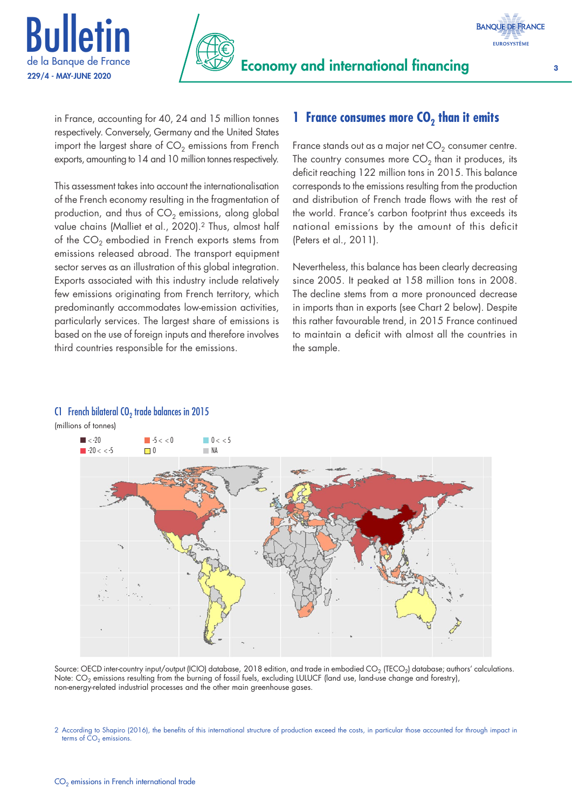



in France, accounting for 40, 24 and 15 million tonnes respectively. Conversely, Germany and the United States import the largest share of  $CO<sub>2</sub>$  emissions from French exports, amounting to 14 and 10 million tonnes respectively.

This assessment takes into account the internationalisation of the French economy resulting in the fragmentation of production, and thus of  $CO<sub>2</sub>$  emissions, along global value chains (Malliet et al., 2020).<sup>2</sup> Thus, almost half of the  $CO<sub>2</sub>$  embodied in French exports stems from emissions released abroad. The transport equipment sector serves as an illustration of this global integration. Exports associated with this industry include relatively few emissions originating from French territory, which predominantly accommodates low-emission activities, particularly services. The largest share of emissions is based on the use of foreign inputs and therefore involves third countries responsible for the emissions.

#### **1 France consumes more CO<sub>2</sub> than it emits**

France stands out as a major net  $CO<sub>2</sub>$  consumer centre. The country consumes more  $CO<sub>2</sub>$  than it produces, its deficit reaching 122 million tons in 2015. This balance corresponds to the emissions resulting from the production and distribution of French trade flows with the rest of the world. France's carbon footprint thus exceeds its national emissions by the amount of this deficit (Peters et al., 2011).

Nevertheless, this balance has been clearly decreasing since 2005. It peaked at 158 million tons in 2008. The decline stems from a more pronounced decrease in imports than in exports (see Chart 2 below). Despite this rather favourable trend, in 2015 France continued to maintain a deficit with almost all the countries in the sample.



(millions of tonnes)



Source: OECD inter-country input/output (ICIO) database, 2018 edition, and trade in embodied CO<sub>2</sub> (TECO<sub>2</sub>) database; authors' calculations. Note: CO<sub>2</sub> emissions resulting from the burning of fossil fuels, excluding LULUCF (land use, land-use change and forestry), non‑energy‑related industrial processes and the other main greenhouse gases.

<sup>2</sup> According to Shapiro (2016), the benefits of this international structure of production exceed the costs, in particular those accounted for through impact in terms of  $CO<sub>2</sub>$  emissions.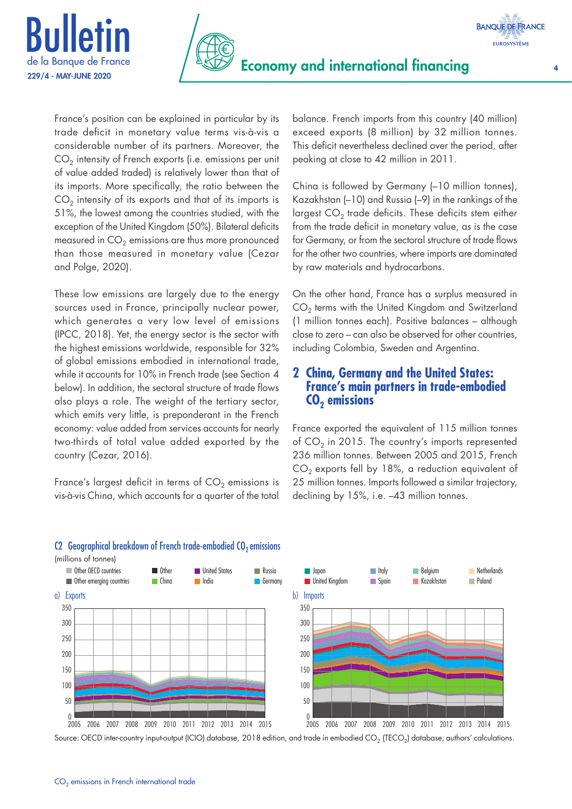



France's position can be explained in particular by its trade deficit in monetary value terms vis‑à‑vis a considerable number of its partners. Moreover, the  $CO<sub>2</sub>$  intensity of French exports (i.e. emissions per unit of value added traded) is relatively lower than that of its imports. More specifically, the ratio between the  $CO<sub>2</sub>$  intensity of its exports and that of its imports is 51%, the lowest among the countries studied, with the exception of the United Kingdom (50%). Bilateral deficits measured in  $CO<sub>2</sub>$  emissions are thus more pronounced than those measured in monetary value (Cezar and Polge, 2020).

These low emissions are largely due to the energy sources used in France, principally nuclear power, which generates a very low level of emissions (IPCC, 2018). Yet, the energy sector is the sector with the highest emissions worldwide, responsible for 32% of global emissions embodied in international trade, while it accounts for 10% in French trade (see Section 4 below). In addition, the sectoral structure of trade flows also plays a role. The weight of the tertiary sector, which emits very little, is preponderant in the French economy: value added from services accounts for nearly two‑thirds of total value added exported by the country (Cezar, 2016).

France's largest deficit in terms of  $CO<sub>2</sub>$  emissions is vis‑à‑vis China, which accounts for a quarter of the total

balance. French imports from this country (40 million) exceed exports (8 million) by 32 million tonnes. This deficit nevertheless declined over the period, after peaking at close to 42 million in 2011.

China is followed by Germany (–10 million tonnes), Kazakhstan (–10) and Russia (–9) in the rankings of the largest  $CO<sub>2</sub>$  trade deficits. These deficits stem either from the trade deficit in monetary value, as is the case for Germany, or from the sectoral structure of trade flows for the other two countries, where imports are dominated by raw materials and hydrocarbons.

On the other hand, France has a surplus measured in CO<sub>2</sub> terms with the United Kingdom and Switzerland (1 million tonnes each). Positive balances – although close to zero – can also be observed for other countries, including Colombia, Sweden and Argentina.

#### **2 China, Germany and the United States: France's main partners in trade‑embodied CO2 emissions**

France exported the equivalent of 115 million tonnes of  $CO<sub>2</sub>$  in 2015. The country's imports represented 236 million tonnes. Between 2005 and 2015, French  $CO<sub>2</sub>$  exports fell by 18%, a reduction equivalent of 25 million tonnes. Imports followed a similar trajectory, declining by 15%, i.e. –43 million tonnes.



#### C2 Geographical breakdown of French trade-embodied  $CO<sub>2</sub>$  emissions

(millions of tonnes)

Source: OECD inter-country input-output (ICIO) database, 2018 edition, and trade in embodied  $CO_2$  (TECO<sub>2</sub>) database; authors' calculations.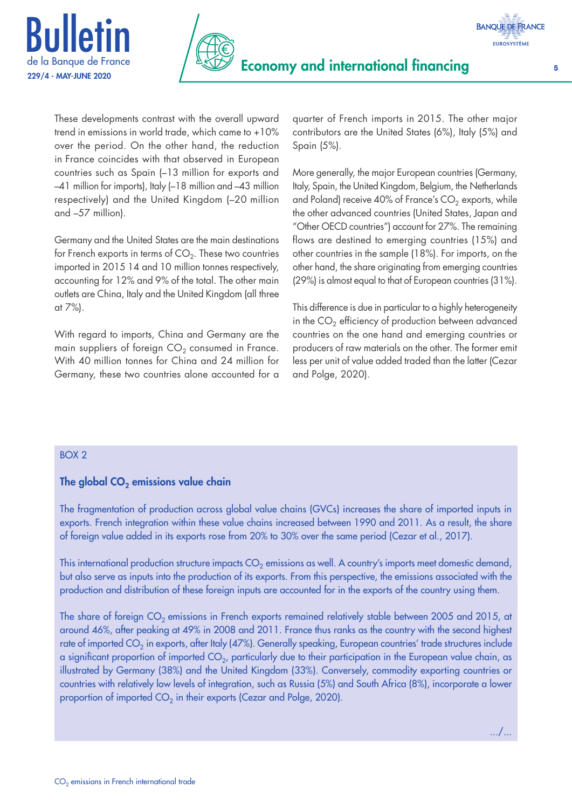



These developments contrast with the overall upward trend in emissions in world trade, which came to +10% over the period. On the other hand, the reduction in France coincides with that observed in European countries such as Spain (–13 million for exports and –41 million for imports), Italy (–18 million and –43 million respectively) and the United Kingdom (–20 million and –57 million).

Germany and the United States are the main destinations for French exports in terms of  $CO<sub>2</sub>$ . These two countries imported in 2015 14 and 10 million tonnes respectively, accounting for 12% and 9% of the total. The other main outlets are China, Italy and the United Kingdom (all three at 7%).

With regard to imports, China and Germany are the main suppliers of foreign  $CO<sub>2</sub>$  consumed in France. With 40 million tonnes for China and 24 million for Germany, these two countries alone accounted for a quarter of French imports in 2015. The other major contributors are the United States (6%), Italy (5%) and Spain (5%).

More generally, the major European countries (Germany, Italy, Spain, the United Kingdom, Belgium, the Netherlands and Poland) receive 40% of France's  $CO<sub>2</sub>$  exports, while the other advanced countries (United States, Japan and "Other OECD countries") account for 27%. The remaining flows are destined to emerging countries (15%) and other countries in the sample (18%). For imports, on the other hand, the share originating from emerging countries (29%) is almost equal to that of European countries (31%).

This difference is due in particular to a highly heterogeneity in the  $CO<sub>2</sub>$  efficiency of production between advanced countries on the one hand and emerging countries or producers of raw materials on the other. The former emit less per unit of value added traded than the latter (Cezar and Polge, 2020).

.../...

#### BOX 2

#### The global  $CO<sub>2</sub>$  emissions value chain

The fragmentation of production across global value chains (GVCs) increases the share of imported inputs in exports. French integration within these value chains increased between 1990 and 2011. As a result, the share of foreign value added in its exports rose from 20% to 30% over the same period (Cezar et al., 2017).

This international production structure impacts  $CO<sub>2</sub>$  emissions as well. A country's imports meet domestic demand, but also serve as inputs into the production of its exports. From this perspective, the emissions associated with the production and distribution of these foreign inputs are accounted for in the exports of the country using them.

The share of foreign  $CO<sub>2</sub>$  emissions in French exports remained relatively stable between 2005 and 2015, at around 46%, after peaking at 49% in 2008 and 2011. France thus ranks as the country with the second highest rate of imported CO<sub>2</sub> in exports, after Italy (47%). Generally speaking, European countries' trade structures include a significant proportion of imported  $CO<sub>2</sub>$ , particularly due to their participation in the European value chain, as illustrated by Germany (38%) and the United Kingdom (33%). Conversely, commodity exporting countries or countries with relatively low levels of integration, such as Russia (5%) and South Africa (8%), incorporate a lower proportion of imported  $CO<sub>2</sub>$  in their exports (Cezar and Polge, 2020).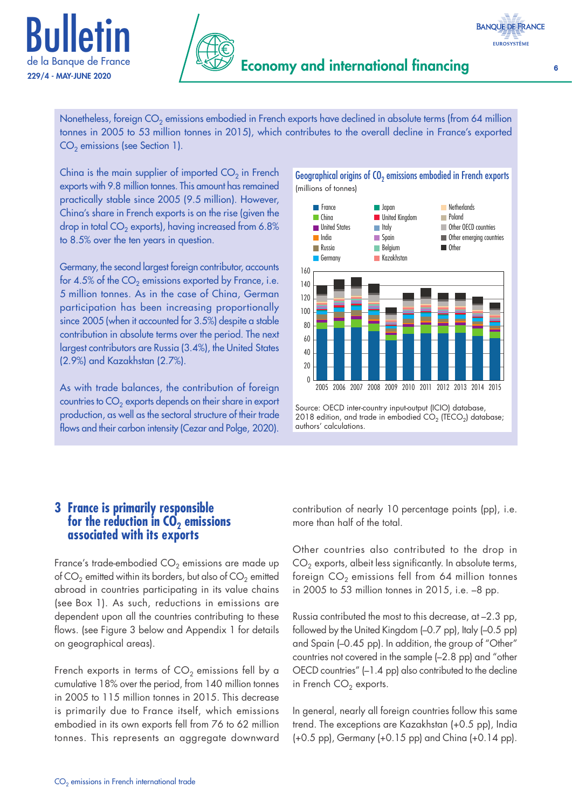



China is the main supplier of imported  $CO<sub>2</sub>$  in French exports with 9.8 million tonnes. This amount has remained practically stable since 2005 (9.5 million). However, China's share in French exports is on the rise (given the drop in total  $CO<sub>2</sub>$  exports), having increased from 6.8% to 8.5% over the ten years in question.

Germany, the second largest foreign contributor, accounts for 4.5% of the  $CO<sub>2</sub>$  emissions exported by France, i.e. 5 million tonnes. As in the case of China, German participation has been increasing proportionally since 2005 (when it accounted for 3.5%) despite a stable contribution in absolute terms over the period. The next largest contributors are Russia (3.4%), the United States (2.9%) and Kazakhstan (2.7%).

As with trade balances, the contribution of foreign countries to  $CO<sub>2</sub>$  exports depends on their share in export production, as well as the sectoral structure of their trade flows and their carbon intensity (Cezar and Polge, 2020).

#### Geographical origins of CO<sub>2</sub> emissions embodied in French exports (millions of tonnes)



Source: OECD inter-country input-output (ICIO) database, 2018 edition, and trade in embodied  $CO<sub>2</sub>$  (TECO<sub>2</sub>) database; authors' calculations.

#### **3 France is primarily responsible for the reduction in CO<sub>2</sub> emissions associated with its exports**

France's trade-embodied  $CO<sub>2</sub>$  emissions are made up of  $CO<sub>2</sub>$  emitted within its borders, but also of  $CO<sub>2</sub>$  emitted abroad in countries participating in its value chains (see Box 1). As such, reductions in emissions are dependent upon all the countries contributing to these flows. (see Figure 3 below and Appendix 1 for details on geographical areas).

French exports in terms of  $CO<sub>2</sub>$  emissions fell by a cumulative 18% over the period, from 140 million tonnes in 2005 to 115 million tonnes in 2015. This decrease is primarily due to France itself, which emissions embodied in its own exports fell from 76 to 62 million tonnes. This represents an aggregate downward contribution of nearly 10 percentage points (pp), i.e. more than half of the total.

Other countries also contributed to the drop in  $CO<sub>2</sub>$  exports, albeit less significantly. In absolute terms, foreign  $CO<sub>2</sub>$  emissions fell from 64 million tonnes in 2005 to 53 million tonnes in 2015, i.e. –8 pp.

Russia contributed the most to this decrease, at –2.3 pp, followed by the United Kingdom (–0.7 pp), Italy (–0.5 pp) and Spain (–0.45 pp). In addition, the group of "Other" countries not covered in the sample (–2.8 pp) and "other OECD countries" (–1.4 pp) also contributed to the decline in French  $CO<sub>2</sub>$  exports.

In general, nearly all foreign countries follow this same trend. The exceptions are Kazakhstan (+0.5 pp), India (+0.5 pp), Germany (+0.15 pp) and China (+0.14 pp).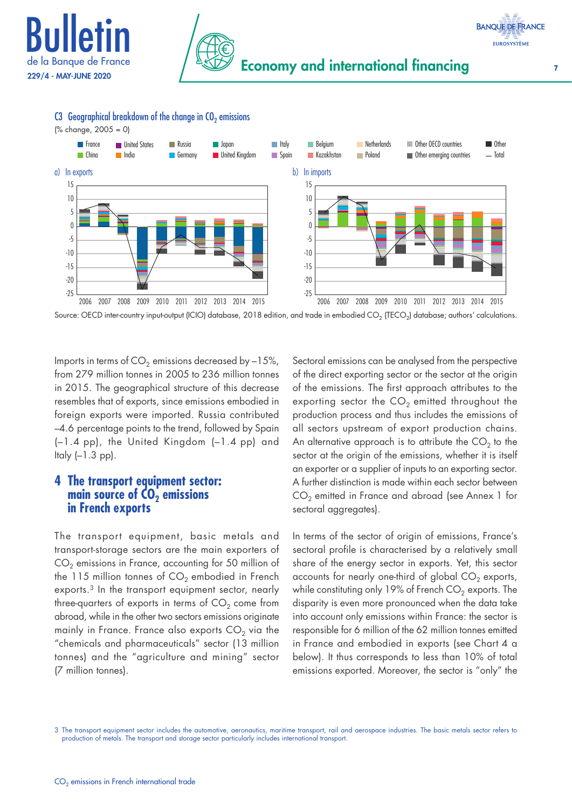





#### C3 Geographical breakdown of the change in  $CO<sub>2</sub>$  emissions

(% change, 2005 = 0)

Source: OECD inter-country input-output (ICIO) database, 2018 edition, and trade in embodied CO<sub>2</sub> (TECO<sub>2</sub>) database; authors' calculations.

Imports in terms of  $CO<sub>2</sub>$  emissions decreased by -15%, from 279 million tonnes in 2005 to 236 million tonnes in 2015. The geographical structure of this decrease resembles that of exports, since emissions embodied in foreign exports were imported. Russia contributed –4.6 percentage points to the trend, followed by Spain (–1.4 pp), the United Kingdom (–1.4 pp) and Italy  $(-1.3$  pp).

#### **4 The transport equipment sector: main source of CO<sub>2</sub> emissions in French exports**

The transport equipment, basic metals and transport‑storage sectors are the main exporters of  $CO<sub>2</sub>$  emissions in France, accounting for 50 million of the 115 million tonnes of  $CO<sub>2</sub>$  embodied in French exports.3 In the transport equipment sector, nearly three-quarters of exports in terms of  $CO<sub>2</sub>$  come from abroad, while in the other two sectors emissions originate mainly in France. France also exports  $CO<sub>2</sub>$  via the "chemicals and pharmaceuticals" sector (13 million tonnes) and the "agriculture and mining" sector (7 million tonnes).

Sectoral emissions can be analysed from the perspective of the direct exporting sector or the sector at the origin of the emissions. The first approach attributes to the exporting sector the  $CO<sub>2</sub>$  emitted throughout the production process and thus includes the emissions of all sectors upstream of export production chains. An alternative approach is to attribute the  $CO<sub>2</sub>$  to the sector at the origin of the emissions, whether it is itself an exporter or a supplier of inputs to an exporting sector. A further distinction is made within each sector between  $CO<sub>2</sub>$  emitted in France and abroad (see Annex 1 for sectoral aggregates).

In terms of the sector of origin of emissions, France's sectoral profile is characterised by a relatively small share of the energy sector in exports. Yet, this sector accounts for nearly one-third of global  $CO<sub>2</sub>$  exports, while constituting only 19% of French  $CO<sub>2</sub>$  exports. The disparity is even more pronounced when the data take into account only emissions within France: the sector is responsible for 6 million of the 62 million tonnes emitted in France and embodied in exports (see Chart 4 a below). It thus corresponds to less than 10% of total emissions exported. Moreover, the sector is "only" the

<sup>3</sup> The transport equipment sector includes the automotive, aeronautics, maritime transport, rail and aerospace industries. The basic metals sector refers to production of metals. The transport and storage sector particularly includes international transport.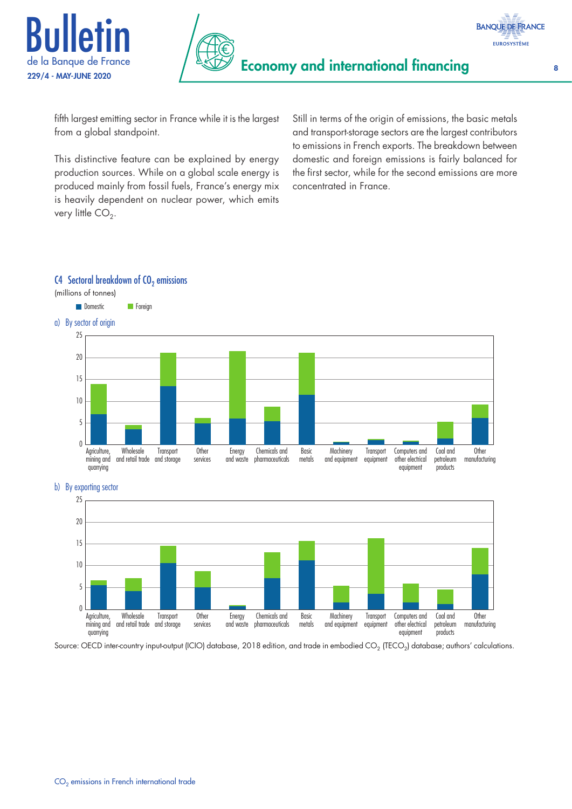



fifth largest emitting sector in France while it is the largest from a global standpoint.

This distinctive feature can be explained by energy production sources. While on a global scale energy is produced mainly from fossil fuels, France's energy mix is heavily dependent on nuclear power, which emits very little  $CO<sub>2</sub>$ .

Still in terms of the origin of emissions, the basic metals and transport‑storage sectors are the largest contributors to emissions in French exports. The breakdown between domestic and foreign emissions is fairly balanced for the first sector, while for the second emissions are more concentrated in France.

#### C4 Sectoral breakdown of  $CO<sub>2</sub>$  emissions



b) By exporting sector



Source: OECD inter-country input-output (ICIO) database, 2018 edition, and trade in embodied CO<sub>2</sub> (TECO<sub>2</sub>) database; authors' calculations.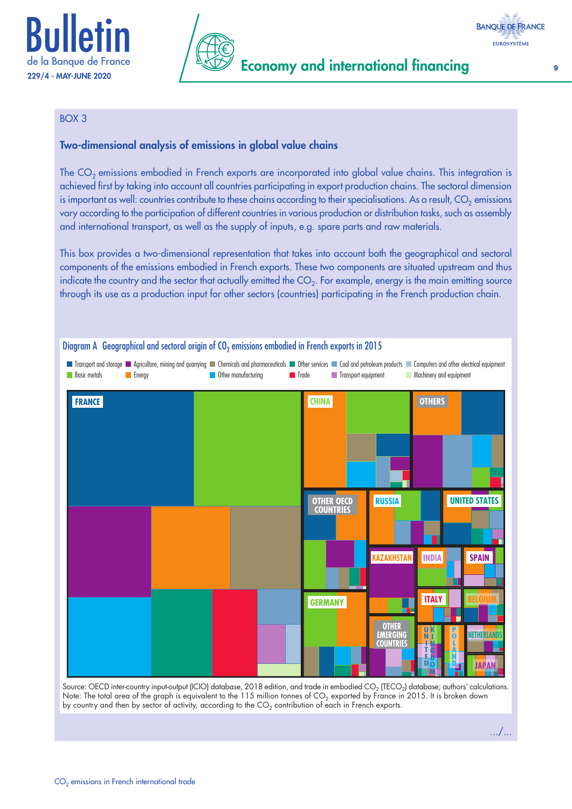



#### BOX 3

#### Two‑dimensional analysis of emissions in global value chains

The CO<sub>2</sub> emissions embodied in French exports are incorporated into global value chains. This integration is achieved first by taking into account all countries participating in export production chains. The sectoral dimension is important as well: countries contribute to these chains according to their specialisations. As a result,  $CO<sub>2</sub>$  emissions vary according to the participation of different countries in various production or distribution tasks, such as assembly and international transport, as well as the supply of inputs, e.g. spare parts and raw materials.

This box provides a two-dimensional representation that takes into account both the geographical and sectoral components of the emissions embodied in French exports. These two components are situated upstream and thus indicate the country and the sector that actually emitted the  $CO<sub>2</sub>$ . For example, energy is the main emitting source through its use as a production input for other sectors (countries) participating in the French production chain.



Source: OECD inter-country input-output (ICIO) database, 2018 edition, and trade in embodied  $CO_2$  (TECO<sub>2</sub>) database; authors' calculations. Note: The total area of the graph is equivalent to the 115 million tonnes of  $CO_2$  exported by France in 2015. It is broken down by country and then by sector of activity, according to the  $CO<sub>2</sub>$  contribution of each in French exports.

**BANQUE DE FRANCE EUROSYSTÈME** 

.../...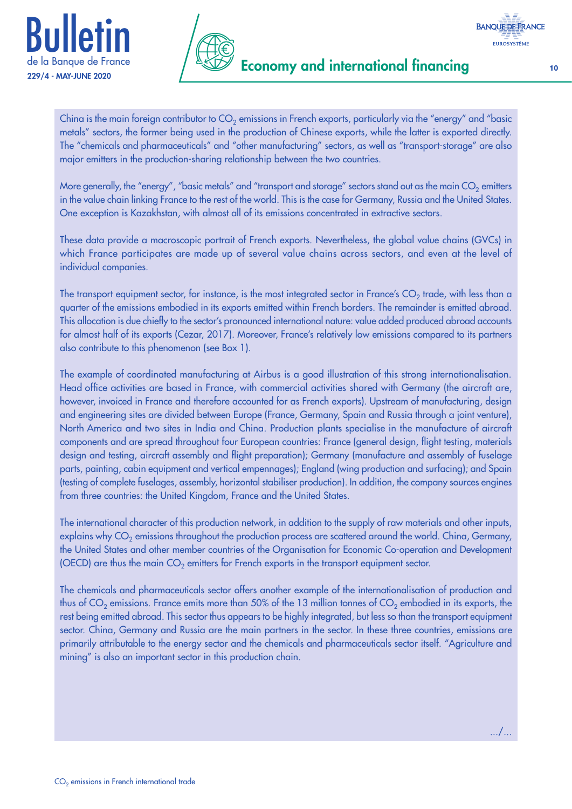



**Economy and international financing** 

China is the main foreign contributor to  $CO_2$  emissions in French exports, particularly via the "energy" and "basic metals" sectors, the former being used in the production of Chinese exports, while the latter is exported directly. The "chemicals and pharmaceuticals" and "other manufacturing" sectors, as well as "transport-storage" are also major emitters in the production-sharing relationship between the two countries.

More generally, the "energy", "basic metals" and "transport and storage" sectors stand out as the main  $CO<sub>2</sub>$  emitters in the value chain linking France to the rest of the world. This is the case for Germany, Russia and the United States. One exception is Kazakhstan, with almost all of its emissions concentrated in extractive sectors.

These data provide a macroscopic portrait of French exports. Nevertheless, the global value chains (GVCs) in which France participates are made up of several value chains across sectors, and even at the level of individual companies.

The transport equipment sector, for instance, is the most integrated sector in France's  $CO<sub>2</sub>$  trade, with less than a quarter of the emissions embodied in its exports emitted within French borders. The remainder is emitted abroad. This allocation is due chiefly to the sector's pronounced international nature: value added produced abroad accounts for almost half of its exports (Cezar, 2017). Moreover, France's relatively low emissions compared to its partners also contribute to this phenomenon (see Box 1).

The example of coordinated manufacturing at Airbus is a good illustration of this strong internationalisation. Head office activities are based in France, with commercial activities shared with Germany (the aircraft are, however, invoiced in France and therefore accounted for as French exports). Upstream of manufacturing, design and engineering sites are divided between Europe (France, Germany, Spain and Russia through a joint venture), North America and two sites in India and China. Production plants specialise in the manufacture of aircraft components and are spread throughout four European countries: France (general design, flight testing, materials design and testing, aircraft assembly and flight preparation); Germany (manufacture and assembly of fuselage parts, painting, cabin equipment and vertical empennages); England (wing production and surfacing); and Spain (testing of complete fuselages, assembly, horizontal stabiliser production). In addition, the company sources engines from three countries: the United Kingdom, France and the United States.

The international character of this production network, in addition to the supply of raw materials and other inputs, explains why  $CO<sub>2</sub>$  emissions throughout the production process are scattered around the world. China, Germany, the United States and other member countries of the Organisation for Economic Co-operation and Development (OECD) are thus the main  $CO<sub>2</sub>$  emitters for French exports in the transport equipment sector.

The chemicals and pharmaceuticals sector offers another example of the internationalisation of production and thus of  $CO_2$  emissions. France emits more than 50% of the 13 million tonnes of  $CO_2$  embodied in its exports, the rest being emitted abroad. This sector thus appears to be highly integrated, but less so than the transport equipment sector. China, Germany and Russia are the main partners in the sector. In these three countries, emissions are primarily attributable to the energy sector and the chemicals and pharmaceuticals sector itself. "Agriculture and mining" is also an important sector in this production chain.

.../...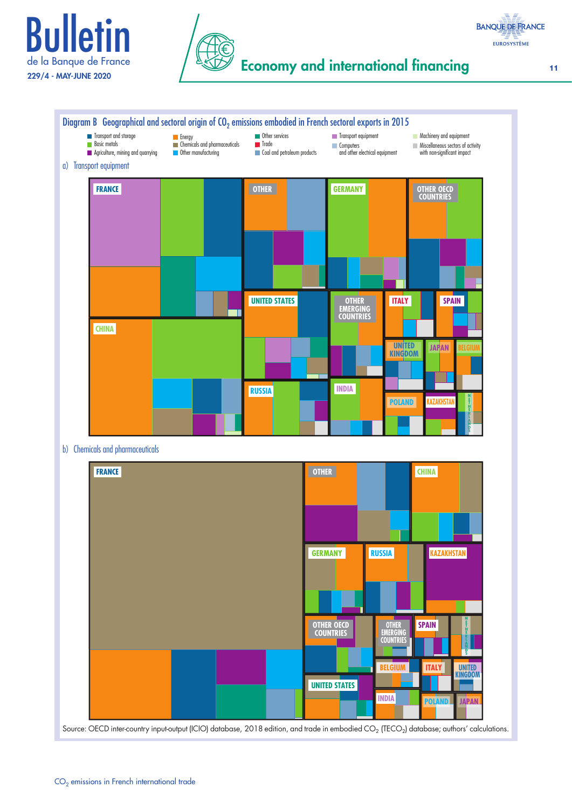



## Economy and international financing 11



**BANQUE DE FRANCE EUROSYSTÈME**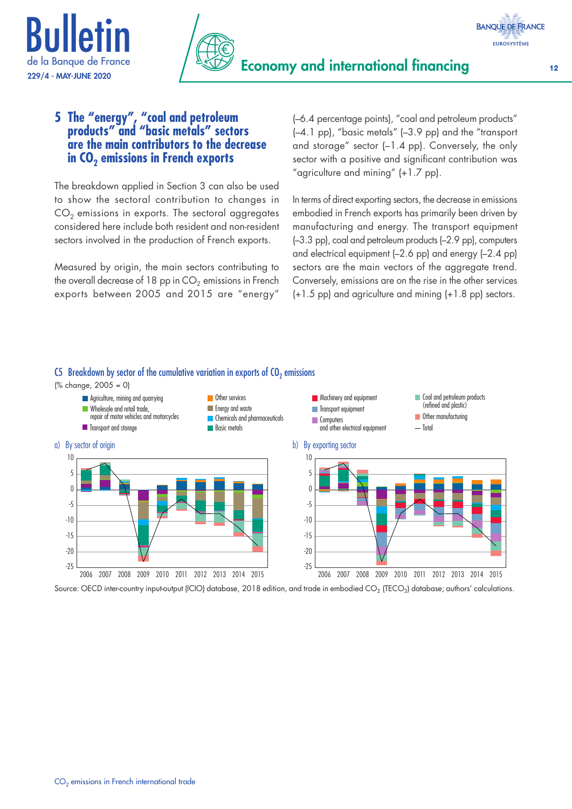



#### **BANQUE DE FRANCE EUROSYSTÈME**

#### **5 The "energy", "coal and petroleum products" and "basic metals" sectors are the main contributors to the decrease in CO<sub>2</sub> emissions in French exports**

The breakdown applied in Section 3 can also be used to show the sectoral contribution to changes in  $CO<sub>2</sub>$  emissions in exports. The sectoral aggregates considered here include both resident and non‑resident sectors involved in the production of French exports.

Measured by origin, the main sectors contributing to the overall decrease of 18 pp in  $CO<sub>2</sub>$  emissions in French exports between 2005 and 2015 are "energy" (–6.4 percentage points), "coal and petroleum products" (–4.1 pp), "basic metals" (–3.9 pp) and the "transport and storage" sector (–1.4 pp). Conversely, the only sector with a positive and significant contribution was "agriculture and mining" (+1.7 pp).

In terms of direct exporting sectors, the decrease in emissions embodied in French exports has primarily been driven by manufacturing and energy. The transport equipment (–3.3 pp), coal and petroleum products (–2.9 pp), computers and electrical equipment (–2.6 pp) and energy (–2.4 pp) sectors are the main vectors of the aggregate trend. Conversely, emissions are on the rise in the other services (+1.5 pp) and agriculture and mining (+1.8 pp) sectors.



#### C5 Breakdown by sector of the cumulative variation in exports of  $CO<sub>2</sub>$  emissions

Source: OECD inter-country input-output (ICIO) database, 2018 edition, and trade in embodied CO<sub>2</sub> (TECO<sub>2</sub>) database; authors' calculations.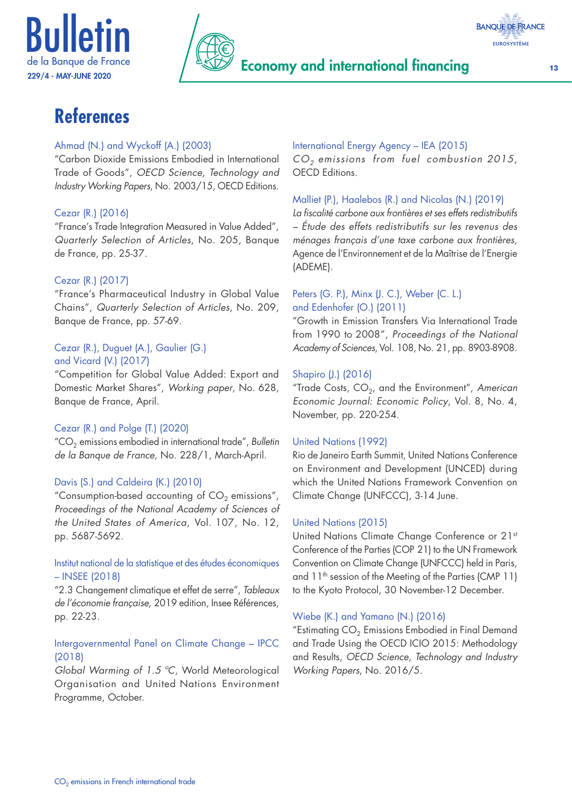



## Economy and international financing the contract of the 13



# **References**

#### Ahmad (N.) and Wyckoff (A.) (2003)

"Carbon Dioxide Emissions Embodied in International Trade of Goods", *OECD Science, Technology and Industry Working Papers*, No. 2003/15, OECD Editions.

#### Cezar (R.) (2016)

"France's Trade Integration Measured in Value Added", *Quarterly Selection of Articles*, No. 205, Banque de France, pp. 25‑37.

#### Cezar (R.) (2017)

"France's Pharmaceutical Industry in Global Value Chains", *Quarterly Selection of Articles*, No. 209, Banque de France, pp. 57‑69.

#### Cezar (R.), Duguet (A.), Gaulier (G.) and Vicard (V.) (2017)

"Competition for Global Value Added: Export and Domestic Market Shares", *Working paper*, No. 628, Banque de France, April.

#### Cezar (R.) and Polge (T.) (2020)

"CO2 emissions embodied in international trade", *Bulletin de la Banque de France*, No. 228/1, March‑April.

#### Davis (S.) and Caldeira (K.) (2010)

"Consumption-based accounting of  $CO<sub>2</sub>$  emissions", *Proceedings of the National Academy of Sciences of the United States of America*, Vol. 107, No. 12, pp. 5687‑5692.

#### Institut national de la statistique et des études économiques – INSEE (2018)

"2.3 Changement climatique et effet de serre", *Tableaux de l'économie française*, 2019 edition, Insee Références, pp. 22‑23.

#### Intergovernmental Panel on Climate Change – IPCC (2018)

*Global Warming of 1.5 ºC*, World Meteorological Organisation and United Nations Environment Programme, October.

### International Energy Agency – IEA (2015)

*CO2 emissions from fuel combustion 2015*, OECD Editions.

#### Malliet (P.), Haalebos (R.) and Nicolas (N.) (2019)

*La fiscalité carbone aux frontières et ses effets redistributifs – Étude des effets redistributifs sur les revenus des ménages français d'une taxe carbone aux frontières*, Agence de l'Environnement et de la Maîtrise de l'Energie (ADEME).

#### Peters (G. P.), Minx (J. C.), Weber (C. L.) and Edenhofer (O.) (2011)

"Growth in Emission Transfers Via International Trade from 1990 to 2008", *Proceedings of the National Academy of Sciences*, Vol. 108, No. 21, pp. 8903‑8908.

#### Shapiro (J.) (2016)

"Trade Costs, CO<sub>2</sub>, and the Environment", American *Economic Journal: Economic Policy*, Vol. 8, No. 4, November, pp. 220‑254.

#### United Nations (1992)

Rio de Janeiro Earth Summit, United Nations Conference on Environment and Development (UNCED) during which the United Nations Framework Convention on Climate Change (UNFCCC), 3‑14 June.

#### United Nations (2015)

United Nations Climate Change Conference or 21st Conference of the Parties (COP 21) to the UN Framework Convention on Climate Change (UNFCCC) held in Paris, and 11th session of the Meeting of the Parties (CMP 11) to the Kyoto Protocol, 30 November-12 December.

#### Wiebe (K.) and Yamano (N.) (2016)

"Estimating  $CO<sub>2</sub>$  Emissions Embodied in Final Demand and Trade Using the OECD ICIO 2015: Methodology and Results, *OECD Science, Technology and Industry Working Papers*, No. 2016/5.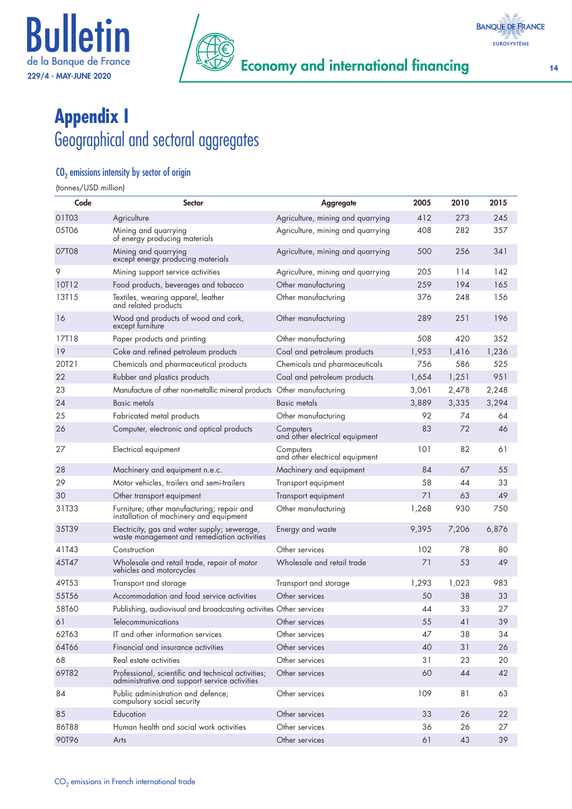



# **Appendix I**  Geographical and sectoral aggregates

#### $CO<sub>2</sub>$  emissions intensity by sector of origin

(tonnes/USD million)

| Code  | <b>Sector</b>                                                                                       | <b>Aggregate</b>                            | 2005  | 2010  | 2015  |
|-------|-----------------------------------------------------------------------------------------------------|---------------------------------------------|-------|-------|-------|
| 01T03 | Agriculture                                                                                         | Agriculture, mining and quarrying           | 412   | 273   | 245   |
| 05T06 | Mining and quarrying<br>of energy producing materials                                               | Agriculture, mining and quarrying           | 408   | 282   | 357   |
| 07T08 | Mining and quarrying<br>except energy producing materials                                           | Agriculture, mining and quarrying           | 500   | 256   | 341   |
| 9     | Mining support service activities                                                                   | Agriculture, mining and quarrying           | 205   | 114   | 142   |
| 10T12 | Food products, beverages and tobacco                                                                | Other manufacturing                         | 259   | 194   | 165   |
| 13T15 | Textiles, wearing apparel, leather<br>and related products                                          | Other manufacturing                         | 376   | 248   | 156   |
| 16    | Wood and products of wood and cork,<br>except furniture                                             | Other manufacturing                         | 289   | 251   | 196   |
| 17T18 | Paper products and printing                                                                         | Other manufacturing                         | 508   | 420   | 352   |
| 19    | Coke and refined petroleum products                                                                 | Coal and petroleum products                 | 1,953 | 1,416 | 1,236 |
| 20T21 | Chemicals and pharmaceutical products                                                               | Chemicals and pharmaceuticals               | 756   | 586   | 525   |
| 22    | Rubber and plastics products                                                                        | Coal and petroleum products                 | 1,654 | 1,251 | 951   |
| 23    | Manufacture of other non-metallic mineral products Other manufacturing                              |                                             | 3,061 | 2,478 | 2,248 |
| 24    | Basic metals                                                                                        | Basic metals                                | 3,889 | 3,335 | 3,294 |
| 25    | Fabricated metal products                                                                           | Other manufacturing                         | 92    | 74    | 64    |
| 26    | Computer, electronic and optical products                                                           | Computers<br>and other electrical equipment | 83    | 72    | 46    |
| 27    | Electrical equipment                                                                                | Computers<br>and other electrical equipment | 101   | 82    | 61    |
| 28    | Machinery and equipment n.e.c.                                                                      | Machinery and equipment                     | 84    | 67    | 55    |
| 29    | Motor vehicles, trailers and semi-trailers                                                          | Transport equipment                         | 58    | 44    | 33    |
| 30    | Other transport equipment                                                                           | Transport equipment                         | 71    | 63    | 49    |
| 31T33 | Furniture; other manufacturing; repair and<br>installation of machinery and equipment               | Other manufacturing                         | 1,268 | 930   | 750   |
| 35T39 | Electricity, gas and water supply; sewerage,<br>waste management and remediation activities         | Energy and waste                            | 9,395 | 7,206 | 6,876 |
| 41T43 | Construction                                                                                        | Other services                              | 102   | 78    | 80    |
| 45T47 | Wholesale and retail trade, repair of motor<br>vehicles and motorcycles                             | Wholesale and retail trade                  | 71    | 53    | 49    |
| 49T53 | Transport and storage                                                                               | Transport and storage                       | 1,293 | 1,023 | 983   |
| 55T56 | Accommodation and food service activities                                                           | Other services                              | 50    | 38    | 33    |
| 58T60 | Publishing, audiovisual and broadcasting activities Other services                                  |                                             | 44    | 33    | 27    |
| 61    | Telecommunications                                                                                  | Other services                              | 55    | 41    | 39    |
| 62T63 | IT and other information services                                                                   | Other services                              | 47    | 38    | 34    |
| 64T66 | Financial and insurance activities                                                                  | Other services                              | 40    | 31    | 26    |
| 68    | Real estate activities                                                                              | Other services                              | 31    | 23    | 20    |
| 69T82 | Professional, scientific and technical activities;<br>administrative and support service activities | Other services                              | 60    | 44    | 42    |
| 84    | Public administration and defence;<br>compulsory social security                                    | Other services                              | 109   | 81    | 63    |
| 85    | Education                                                                                           | Other services                              | 33    | 26    | 22    |
| 86T88 | Human health and social work activities                                                             | Other services                              | 36    | 26    | 27    |
| 90T96 | Arts                                                                                                | Other services                              | 61    | 43    | 39    |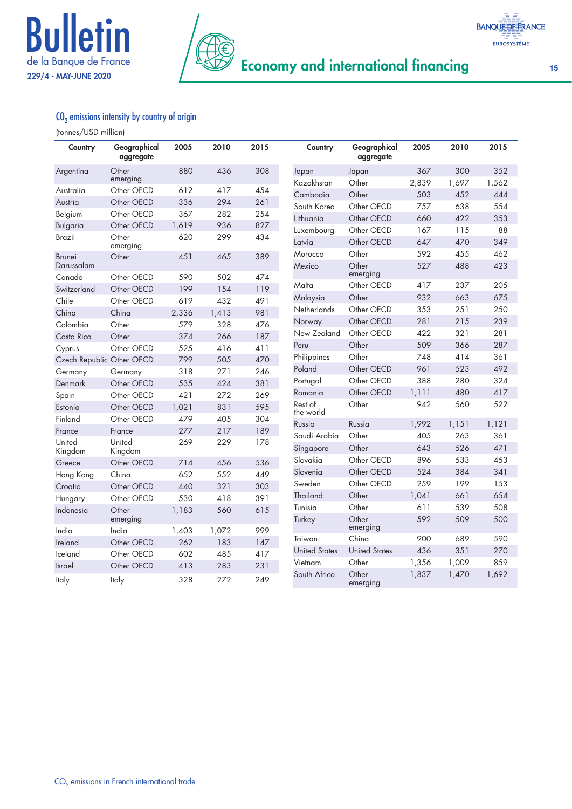



#### $\mathbf{C}\mathbf{O}_2$  emissions intensity by country of origin

#### (tonnes/USD million)

| Country                     | Geographical<br>aggregate | 2005  | 2010  | 2015 | Country              | Geographical<br>aggregate | 2005       | 2010       | 2015       |
|-----------------------------|---------------------------|-------|-------|------|----------------------|---------------------------|------------|------------|------------|
| Argentina                   | Other                     | 880   | 436   | 308  | Japan                | Japan                     | 367        | 300        | 352        |
|                             | emerging                  |       |       |      | Kazakhstan           | Other                     | 2,839      | 1,697      | 1,562      |
| Australia                   | Other OECD                | 612   | 417   | 454  | Cambodia             | Other                     | 503        | 452        | 444        |
| Austria                     | Other OECD                | 336   | 294   | 261  | South Korea          | Other OECD                | 757        | 638        | 554        |
| Belgium                     | Other OECD                | 367   | 282   | 254  | Lithuania            | Other OECD                | 660        | 422        | 353        |
| Bulgaria                    | Other OECD                | 1,619 | 936   | 827  | Luxembourg           | Other OECD                | 167        | 115        | 88         |
| Brazil                      | Other<br>emerging         | 620   | 299   | 434  | Latvia               | Other OECD                | 647        | 470        | 349        |
| <b>Brunei</b><br>Darussalam | Other                     | 451   | 465   | 389  | Morocco<br>Mexico    | Other<br>Other            | 592<br>527 | 455<br>488 | 462<br>423 |
| Canada                      | Other OECD                | 590   | 502   | 474  |                      | emerging                  |            |            |            |
| Switzerland                 | Other OECD                | 199   | 154   | 119  | Malta                | Other OECD                | 417        | 237        | 205        |
| Chile                       | Other OECD                | 619   | 432   | 491  | Malaysia             | Other                     | 932        | 663        | 675        |
| China                       | China                     | 2,336 | 1,413 | 981  | <b>Netherlands</b>   | Other OECD                | 353        | 251        | 250        |
| Colombia                    | Other                     | 579   | 328   | 476  | Norway               | Other OECD                | 281        | 215        | 239        |
| Costa Rica                  | Other                     | 374   | 266   | 187  | New Zealand          | Other OECD                | 422        | 321        | 281        |
| Cyprus                      | Other OECD                | 525   | 416   | 411  | Peru                 | Other                     | 509        | 366        | 287        |
| Czech Republic Other OECD   |                           | 799   | 505   | 470  | Philippines          | Other                     | 748        | 414        | 361        |
| Germany                     | Germany                   | 318   | 271   | 246  | Poland               | Other OECD                | 961        | 523        | 492        |
| Denmark                     | Other OECD                | 535   | 424   | 381  | Portugal             | Other OECD                | 388        | 280        | 324        |
| Spain                       | Other OECD                | 421   | 272   | 269  | Romania              | Other OECD                | 1,111      | 480        | 417        |
| Estonia                     | Other OECD                | 1,021 | 831   | 595  | Rest of<br>the world | Other                     | 942        | 560        | 522        |
| Finland                     | Other OECD                | 479   | 405   | 304  | Russia               | Russia                    | 1,992      | 1,151      | 1,121      |
| France                      | France                    | 277   | 217   | 189  | Saudi Arabia         | Other                     | 405        | 263        | 361        |
| United                      | United                    | 269   | 229   | 178  | Singapore            | Other                     | 643        | 526        | 471        |
| Kingdom                     | Kingdom                   |       |       |      | Slovakia             | Other OECD                | 896        | 533        | 453        |
| Greece                      | Other OECD                | 714   | 456   | 536  | Slovenia             | Other OECD                | 524        | 384        | 341        |
| Hong Kong                   | China                     | 652   | 552   | 449  | Sweden               | Other OECD                | 259        | 199        | 153        |
| Croatia                     | Other OECD                | 440   | 321   | 303  |                      |                           |            |            |            |
| Hungary                     | Other OECD                | 530   | 418   | 391  | Thailand             | Other                     | 1,041      | 661        | 654        |
| Indonesia                   | Other<br>emerging         | 1,183 | 560   | 615  | Tunisia<br>Turkey    | Other<br>Other            | 611<br>592 | 539<br>509 | 508<br>500 |
| India                       | India                     | 1,403 | 1,072 | 999  |                      | emerging                  |            |            |            |
| Ireland                     | Other OECD                | 262   | 183   | 147  | Taiwan               | China                     | 900        | 689        | 590        |
| Iceland                     | Other OECD                | 602   | 485   | 417  | <b>United States</b> | <b>United States</b>      | 436        | 351        | 270        |
| <b>Israel</b>               | Other OECD                | 413   | 283   | 231  | Vietnam              | Other                     | 1,356      | 1,009      | 859        |
| <b>Italy</b>                | Italy                     | 328   | 272   | 249  | South Africa         | Other<br>emerging         | 1,837      | 1,470      | 1,692      |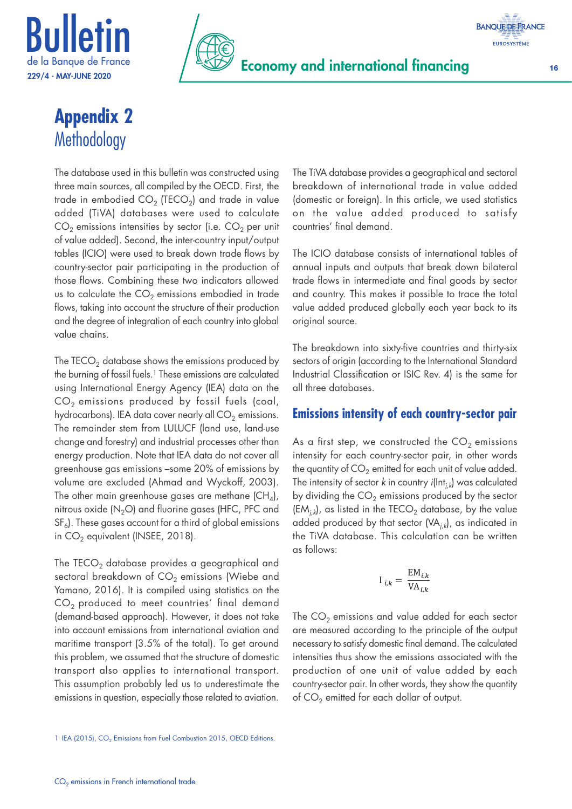



# **Appendix 2 Methodology**

The database used in this bulletin was constructed using three main sources, all compiled by the OECD. First, the trade in embodied  $CO<sub>2</sub>$  (TECO<sub>2</sub>) and trade in value added (TiVA) databases were used to calculate  $CO<sub>2</sub>$  emissions intensities by sector (i.e.  $CO<sub>2</sub>$  per unit of value added). Second, the inter‑country input/output tables (ICIO) were used to break down trade flows by country‑sector pair participating in the production of those flows. Combining these two indicators allowed us to calculate the  $CO<sub>2</sub>$  emissions embodied in trade flows, taking into account the structure of their production and the degree of integration of each country into global value chains.

The  $TECO<sub>2</sub>$  database shows the emissions produced by the burning of fossil fuels.<sup>1</sup> These emissions are calculated using International Energy Agency (IEA) data on the  $CO<sub>2</sub>$  emissions produced by fossil fuels (coal, hydrocarbons). IEA data cover nearly all  $CO<sub>2</sub>$  emissions. The remainder stem from LULUCF (land use, land‑use change and forestry) and industrial processes other than energy production. Note that IEA data do not cover all greenhouse gas emissions –some 20% of emissions by volume are excluded (Ahmad and Wyckoff, 2003). The other main greenhouse gases are methane  $(CH<sub>A</sub>)$ , nitrous oxide  $(N_2O)$  and fluorine gases (HFC, PFC and  $SF<sub>6</sub>$ ). These gases account for a third of global emissions in  $CO<sub>2</sub>$  equivalent (INSEE, 2018).

The TECO<sub>2</sub> database provides a geographical and sectoral breakdown of  $CO<sub>2</sub>$  emissions (Wiebe and Yamano, 2016). It is compiled using statistics on the  $CO<sub>2</sub>$  produced to meet countries' final demand (demand‑based approach). However, it does not take into account emissions from international aviation and maritime transport (3.5% of the total). To get around this problem, we assumed that the structure of domestic transport also applies to international transport. This assumption probably led us to underestimate the emissions in question, especially those related to aviation.

1 IEA (2015), CO<sub>2</sub> Emissions from Fuel Combustion 2015, OECD Editions.

The TiVA database provides a geographical and sectoral breakdown of international trade in value added (domestic or foreign). In this article, we used statistics on the value added produced to satisfy countries' final demand.

The ICIO database consists of international tables of annual inputs and outputs that break down bilateral trade flows in intermediate and final goods by sector and country. This makes it possible to trace the total value added produced globally each year back to its original source.

The breakdown into sixty-five countries and thirty-six sectors of origin (according to the International Standard Industrial Classification or ISIC Rev. 4) is the same for all three databases.

#### **Emissions intensity of each country‑sector pair**

As a first step, we constructed the  $CO<sub>2</sub>$  emissions intensity for each country‑sector pair, in other words the quantity of  $CO<sub>2</sub>$  emitted for each unit of value added. The intensity of sector *k* in country *i*(Int*j,k*) was calculated by dividing the  $CO<sub>2</sub>$  emissions produced by the sector  $(EM_i)$ , as listed in the TECO<sub>2</sub> database, by the value added produced by that sector (VA<sub>*ik*</sub>), as indicated in the TiVA database. This calculation can be written as follows:

$$
\mathbf{I}_{i,k} = \frac{\mathbf{E}\mathbf{M}_{i,k}}{\mathbf{V}\mathbf{A}_{i,k}}
$$

The  $CO<sub>2</sub>$  emissions and value added for each sector are measured according to the principle of the output necessary to satisfy domestic final demand. The calculated intensities thus show the emissions associated with the production of one unit of value added by each country‑sector pair. In other words, they show the quantity of  $CO<sub>2</sub>$  emitted for each dollar of output.

**BANQUE DE FRANCE EUROSYSTÈME**